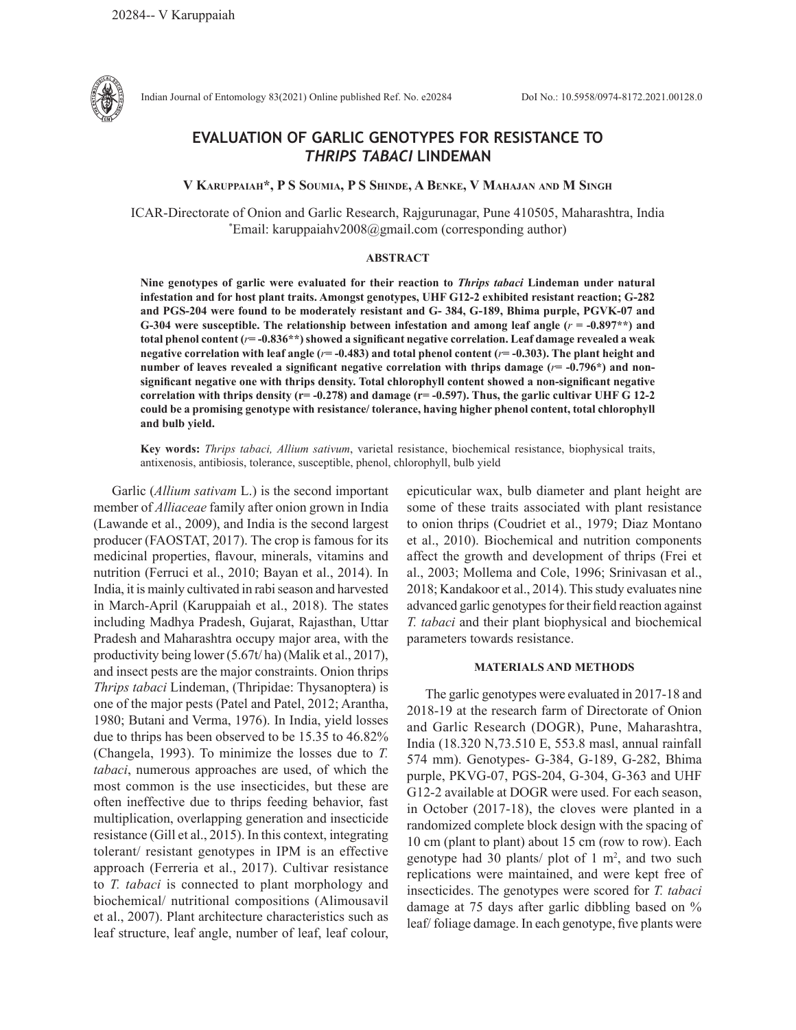

Indian Journal of Entomology 83(2021) Online published Ref. No. e20284 DoI No.: 10.5958/0974-8172.2021.00128.0

## **EVALUATION OF GARLIC GENOTYPES FOR RESISTANCE TO**  *THRIPS TABACI* **LINDEMAN**

**V Karuppaiah\*, P S Soumia, P S Shinde, A Benke, V Mahajan and M Singh**

ICAR-Directorate of Onion and Garlic Research, Rajgurunagar, Pune 410505, Maharashtra, India \* Email: karuppaiahv2008@gmail.com (corresponding author)

## **ABSTRACT**

**Nine genotypes of garlic were evaluated for their reaction to** *Thrips tabaci* **Lindeman under natural infestation and for host plant traits. Amongst genotypes, UHF G12-2 exhibited resistant reaction; G-282 and PGS-204 were found to be moderately resistant and G- 384, G-189, Bhima purple, PGVK-07 and G-304 were susceptible. The relationship between infestation and among leaf angle (***r* **= -0.897\*\*) and total phenol content (***r***= -0.836\*\*) showed a significant negative correlation. Leaf damage revealed a weak negative correlation with leaf angle (***r***= -0.483) and total phenol content (***r***= -0.303). The plant height and number of leaves revealed a significant negative correlation with thrips damage (***r***= -0.796\*) and nonsignificant negative one with thrips density. Total chlorophyll content showed a non-significant negative correlation with thrips density (r= -0.278) and damage (r= -0.597). Thus, the garlic cultivar UHF G 12-2 could be a promising genotype with resistance/ tolerance, having higher phenol content, total chlorophyll and bulb yield.**

**Key words:** *Thrips tabaci, Allium sativum*, varietal resistance, biochemical resistance, biophysical traits, antixenosis, antibiosis, tolerance, susceptible, phenol, chlorophyll, bulb yield

Garlic (*Allium sativam* L.) is the second important member of *Alliaceae* family after onion grown in India (Lawande et al., 2009), and India is the second largest producer (FAOSTAT, 2017). The crop is famous for its medicinal properties, flavour, minerals, vitamins and nutrition (Ferruci et al., 2010; Bayan et al., 2014). In India, it is mainly cultivated in rabiseason and harvested in March-April (Karuppaiah et al., 2018). The states including Madhya Pradesh, Gujarat, Rajasthan, Uttar Pradesh and Maharashtra occupy major area, with the productivity being lower (5.67t/ ha) (Malik et al., 2017), and insect pests are the major constraints. Onion thrips *Thrips tabaci* Lindeman, (Thripidae: Thysanoptera) is one of the major pests (Patel and Patel, 2012; Arantha, 1980; Butani and Verma, 1976). In India, yield losses due to thrips has been observed to be 15.35 to 46.82% (Changela, 1993). To minimize the losses due to *T. tabaci*, numerous approaches are used, of which the most common is the use insecticides, but these are often ineffective due to thrips feeding behavior, fast multiplication, overlapping generation and insecticide resistance (Gill et al., 2015). In this context, integrating tolerant/ resistant genotypes in IPM is an effective approach (Ferreria et al., 2017). Cultivar resistance to *T. tabaci* is connected to plant morphology and biochemical/ nutritional compositions (Alimousavil et al., 2007). Plant architecture characteristics such as leaf structure, leaf angle, number of leaf, leaf colour, epicuticular wax, bulb diameter and plant height are some of these traits associated with plant resistance to onion thrips (Coudriet et al., 1979; Diaz Montano et al., 2010). Biochemical and nutrition components affect the growth and development of thrips (Frei et al., 2003; Mollema and Cole, 1996; Srinivasan et al., 2018; Kandakoor et al., 2014). This study evaluates nine advanced garlic genotypes for their field reaction against *T. tabaci* and their plant biophysical and biochemical parameters towards resistance.

## **MATERIALS AND METHODS**

The garlic genotypes were evaluated in 2017-18 and 2018-19 at the research farm of Directorate of Onion and Garlic Research (DOGR), Pune, Maharashtra, India (18.320 N,73.510 E, 553.8 masl, annual rainfall 574 mm). Genotypes- G-384, G-189, G-282, Bhima purple, PKVG-07, PGS-204, G-304, G-363 and UHF G12-2 available at DOGR were used. For each season, in October (2017-18), the cloves were planted in a randomized complete block design with the spacing of 10 cm (plant to plant) about 15 cm (row to row). Each genotype had 30 plants/ plot of  $1 \text{ m}^2$ , and two such replications were maintained, and were kept free of insecticides. The genotypes were scored for *T. tabaci* damage at 75 days after garlic dibbling based on % leaf/ foliage damage. In each genotype, five plants were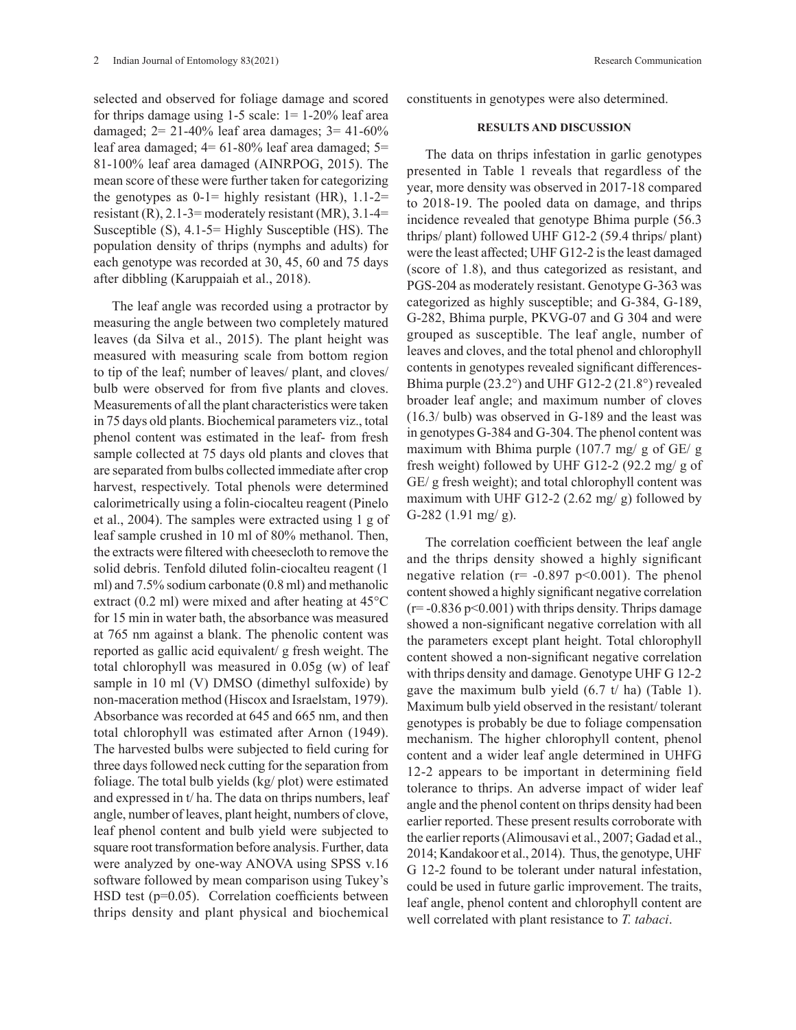selected and observed for foliage damage and scored for thrips damage using  $1-5$  scale:  $1=1-20\%$  leaf area damaged;  $2 = 21 - 40\%$  leaf area damages;  $3 = 41 - 60\%$ leaf area damaged; 4= 61-80% leaf area damaged; 5= 81-100% leaf area damaged (AINRPOG, 2015). The mean score of these were further taken for categorizing the genotypes as  $0-1$ = highly resistant (HR),  $1.1-2=$ resistant  $(R)$ , 2.1-3= moderately resistant  $(MR)$ , 3.1-4= Susceptible (S), 4.1-5= Highly Susceptible (HS). The population density of thrips (nymphs and adults) for each genotype was recorded at 30, 45, 60 and 75 days after dibbling (Karuppaiah et al., 2018).

The leaf angle was recorded using a protractor by measuring the angle between two completely matured leaves (da Silva et al., 2015). The plant height was measured with measuring scale from bottom region to tip of the leaf; number of leaves/ plant, and cloves/ bulb were observed for from five plants and cloves. Measurements of all the plant characteristics were taken in 75 days old plants. Biochemical parameters viz., total phenol content was estimated in the leaf- from fresh sample collected at 75 days old plants and cloves that are separated from bulbs collected immediate after crop harvest, respectively. Total phenols were determined calorimetrically using a folin-ciocalteu reagent (Pinelo et al., 2004). The samples were extracted using 1 g of leaf sample crushed in 10 ml of 80% methanol. Then, the extracts were filtered with cheesecloth to remove the solid debris. Tenfold diluted folin-ciocalteu reagent (1 ml) and 7.5% sodium carbonate (0.8 ml) and methanolic extract (0.2 ml) were mixed and after heating at 45°C for 15 min in water bath, the absorbance was measured at 765 nm against a blank. The phenolic content was reported as gallic acid equivalent/ g fresh weight. The total chlorophyll was measured in 0.05g (w) of leaf sample in 10 ml (V) DMSO (dimethyl sulfoxide) by non-maceration method (Hiscox and Israelstam, 1979). Absorbance was recorded at 645 and 665 nm, and then total chlorophyll was estimated after Arnon (1949). The harvested bulbs were subjected to field curing for three days followed neck cutting for the separation from foliage. The total bulb yields (kg/ plot) were estimated and expressed in t/ ha. The data on thrips numbers, leaf angle, number of leaves, plant height, numbers of clove, leaf phenol content and bulb yield were subjected to square root transformation before analysis. Further, data were analyzed by one-way ANOVA using SPSS v.16 software followed by mean comparison using Tukey's HSD test (p=0.05). Correlation coefficients between thrips density and plant physical and biochemical

constituents in genotypes were also determined.

## **RESULTS AND DISCUSSION**

The data on thrips infestation in garlic genotypes presented in Table 1 reveals that regardless of the year, more density was observed in 2017-18 compared to 2018-19. The pooled data on damage, and thrips incidence revealed that genotype Bhima purple (56.3 thrips/ plant) followed UHF G12-2 (59.4 thrips/ plant) were the least affected; UHF G12-2 is the least damaged (score of 1.8), and thus categorized as resistant, and PGS-204 as moderately resistant. Genotype G-363 was categorized as highly susceptible; and G-384, G-189, G-282, Bhima purple, PKVG-07 and G 304 and were grouped as susceptible. The leaf angle, number of leaves and cloves, and the total phenol and chlorophyll contents in genotypes revealed significant differences-Bhima purple (23.2°) and UHF G12-2 (21.8°) revealed broader leaf angle; and maximum number of cloves (16.3/ bulb) was observed in G-189 and the least was in genotypes G-384 and G-304. The phenol content was maximum with Bhima purple (107.7 mg/ g of GE/ g fresh weight) followed by UHF G12-2 (92.2 mg/ g of GE/ g fresh weight); and total chlorophyll content was maximum with UHF G12-2 (2.62 mg/ g) followed by G-282 (1.91 mg/ g).

The correlation coefficient between the leaf angle and the thrips density showed a highly significant negative relation ( $r = -0.897$  p<0.001). The phenol content showed a highly significant negative correlation  $(r=-0.836 \text{ p} < 0.001)$  with thrips density. Thrips damage showed a non-significant negative correlation with all the parameters except plant height. Total chlorophyll content showed a non-significant negative correlation with thrips density and damage. Genotype UHF G 12-2 gave the maximum bulb yield  $(6.7 \t{t} \text{ ha})$  (Table 1). Maximum bulb yield observed in the resistant/ tolerant genotypes is probably be due to foliage compensation mechanism. The higher chlorophyll content, phenol content and a wider leaf angle determined in UHFG 12-2 appears to be important in determining field tolerance to thrips. An adverse impact of wider leaf angle and the phenol content on thrips density had been earlier reported. These present results corroborate with the earlier reports (Alimousavi et al., 2007; Gadad et al., 2014; Kandakoor et al., 2014). Thus, the genotype, UHF G 12-2 found to be tolerant under natural infestation, could be used in future garlic improvement. The traits, leaf angle, phenol content and chlorophyll content are well correlated with plant resistance to *T. tabaci*.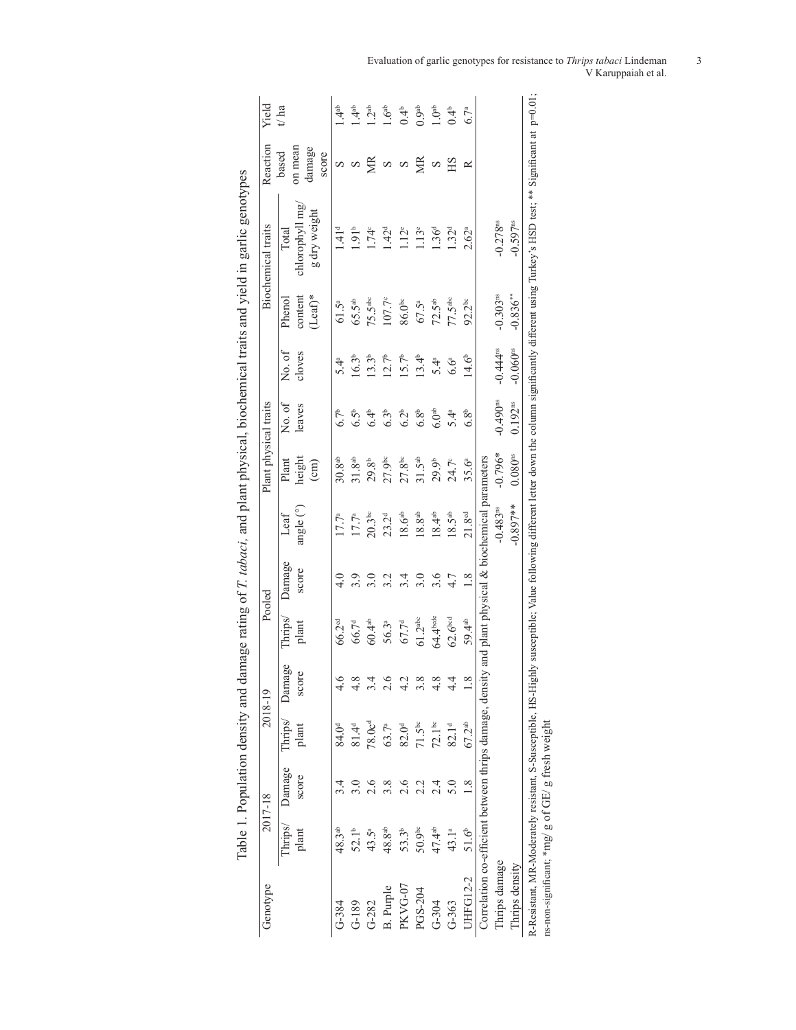| Genotype                                                |                    | 2017-18         |                    | 2018-19         |                         | Pooled          |                                             | Plant physical traits              |                        |                        |                                 | <b>Biochemical</b> traits               | Reaction                            | Yield             |
|---------------------------------------------------------|--------------------|-----------------|--------------------|-----------------|-------------------------|-----------------|---------------------------------------------|------------------------------------|------------------------|------------------------|---------------------------------|-----------------------------------------|-------------------------------------|-------------------|
|                                                         | Thrips/<br>plant   | Damage<br>score | Thrips/<br>plant   | Damage<br>score | Thrips<br>plant         | Damage<br>score | angle (°)<br>Leaf                           | height<br>Plant<br>$\binom{cm}{ }$ | No. of<br>leaves       | No. of<br>cloves       | $(Leaf)^*$<br>content<br>Phenol | chlorophyll mg<br>g dry weight<br>Total | on mean<br>damage<br>based<br>score | t/a               |
| $G-384$                                                 | 48.3 <sup>ab</sup> |                 | 84.0 <sup>d</sup>  |                 | 66.2 <sup>cd</sup>      |                 | 17.7 <sup>a</sup>                           | 30.8 <sup>ab</sup>                 | 6.7 <sup>b</sup>       | $5.4^\mathrm{a}$       | $61.5^{a}$                      | 141 <sup>d</sup>                        | S                                   | $\frac{4}{4}$     |
| $G-189$                                                 | 52.1 <sup>b</sup>  |                 | $81.4^{d}$         |                 | 66.7 <sup>d</sup>       | 3.9             | 17.7 <sup>a</sup>                           | $31.8^{ab}$                        | 6.5 <sup>b</sup>       | $16.3^{b}$             | $65.5$ <sup>ab</sup>            | $1.91^{b}$                              | S                                   | $\frac{4}{3}$     |
| $G-282$                                                 | 43.5ª              | 2.6             | 78.0c <sup>d</sup> |                 | $60.4$ $\mathrm{^{ab}}$ |                 | $20.3^{bc}$                                 | 29.8 <sup>b</sup>                  | 6.4 <sup>b</sup>       | 13.3 <sup>b</sup>      | $75.5^{\text{abc}}$             | $1.74^{\circ}$                          | S                                   | 1.2 <sup>ab</sup> |
| <b>B.</b> Purple                                        | 48.8 <sup>ab</sup> | 3.8             | 63.7 <sup>a</sup>  | 2.6             | 56.3ª                   | 3.2             | 23.2 <sup>d</sup>                           | $27.9$ <sup>bc</sup>               | 6.3 <sup>b</sup>       | $12.7^b$               | 107.7°                          | 1.42 <sup>d</sup>                       | S                                   | 1.6 <sup>ab</sup> |
| PKVG-07                                                 | $53.3^{b}$         | 2.6             | 82.0 <sup>d</sup>  |                 | 67.7 <sup>d</sup>       | 3.4             | 18.6a <sub>b</sub>                          | $27.8^{\circ}$                     | 6.2 <sup>b</sup>       | $15.7^b$               | $86.0^{\circ}$                  | $1.12$ <sup>e</sup>                     | S                                   | 0.4 <sup>b</sup>  |
| PGS-204                                                 | 50.9 <sup>bc</sup> | 2.2             | $71.5^{bc}$        | 3.8             | 61.2 <sup>abc</sup>     | 3.0             | 18.8a <sup>b</sup>                          | $31.5^{ab}$                        | 6.8 <sup>b</sup>       | $13.4^{b}$             | 67.5ª                           | 1.13 <sup>e</sup>                       | ЙK                                  | 0.9 <sup>ab</sup> |
| $G-304$                                                 | 47.4ab             | 2.4             | $72.1^{bc}$        | 4.8             | 64.4bcde                | 3.6             | $18.4^{ab}$                                 | 29.9 <sup>b</sup>                  | 6.0 <sup>ab</sup>      | 5.4 <sup>a</sup>       | $72.5^{\rm ab}$                 | 1.36 <sup>d</sup>                       | S                                   | 1.0 <sup>ab</sup> |
| $G-363$                                                 | 43.1ª              | $\frac{5}{3}$   | 82.1 <sup>d</sup>  |                 | 62.6 <sup>bed</sup>     | $4.7$           | $18.5^{ab}$                                 | 24.7°                              | 5.4 <sup>a</sup>       | $6.6^{\circ}$          | 77.5 <sup>abc</sup>             | 1.32 <sup>d</sup>                       | ЯH                                  | 0.4 <sup>b</sup>  |
| <b>UHFG12-2</b>                                         | $51.6^{b}$         | 1.8             | $67.2^{ab}$        |                 | 59.4 <sup>ab</sup>      | 1.8             | 21.8 <sup>cd</sup>                          | 35.6ª                              | 6.8 <sup>b</sup>       | 14.6 <sup>b</sup>      | $92.2^{bc}$                     | $2.62^{a}$                              | ≃                                   | $6.7^{\rm a}$     |
| Correlation co-efficient between thrips damage, density |                    |                 |                    |                 |                         |                 | and plant physical & biochemical parameters |                                    |                        |                        |                                 |                                         |                                     |                   |
| Thrips damage                                           |                    |                 |                    |                 |                         |                 | $-0.483$ <sup>ns</sup>                      | $-0.796*$                          | $-0.490$ <sup>es</sup> | $-0.444$ <sup>ns</sup> | $-0.303$ <sup>ns</sup>          | $-0.278$ <sup>ns</sup>                  |                                     |                   |
| Thrips density                                          |                    |                 |                    |                 |                         |                 | $-0.897**$                                  | $0.080$ <sup>ns</sup>              | $0.192^{ns}$           | $-0.060$ <sup>ns</sup> | $-0.836***$                     | $-0.597$ <sup>ns</sup>                  |                                     |                   |

Evaluation of garlic genotypes for resistance to *Thrips tabaci* Lindeman 3 V Karuppaiah et al.